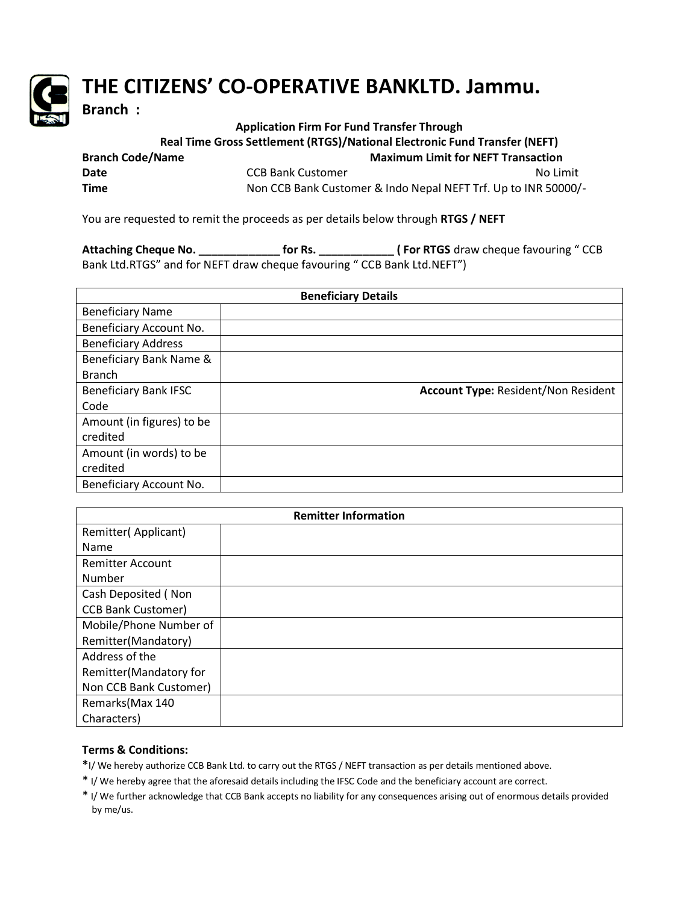

## **THE CITIZENS' CO-OPERATIVE BANKLTD. Jammu.**

**Branch :** 

## **Application Firm For Fund Transfer Through**

 **Real Time Gross Settlement (RTGS)/National Electronic Fund Transfer (NEFT)**

| <b>Branch Code/Name</b> | <b>Maximum Limit for NEFT Transaction</b>                      |          |
|-------------------------|----------------------------------------------------------------|----------|
| Date                    | CCB Bank Customer                                              | No Limit |
| <b>Time</b>             | Non CCB Bank Customer & Indo Nepal NEFT Trf. Up to INR 50000/- |          |

You are requested to remit the proceeds as per details below through **RTGS / NEFT**

**Attaching Cheque No. \_\_\_\_\_\_\_\_\_\_\_\_\_ for Rs. \_\_\_\_\_\_\_\_\_\_\_\_ ( For RTGS** draw cheque favouring " CCB Bank Ltd.RTGS" and for NEFT draw cheque favouring " CCB Bank Ltd.NEFT")

| <b>Beneficiary Details</b>   |                                            |  |
|------------------------------|--------------------------------------------|--|
| <b>Beneficiary Name</b>      |                                            |  |
| Beneficiary Account No.      |                                            |  |
| <b>Beneficiary Address</b>   |                                            |  |
| Beneficiary Bank Name &      |                                            |  |
| <b>Branch</b>                |                                            |  |
| <b>Beneficiary Bank IFSC</b> | <b>Account Type: Resident/Non Resident</b> |  |
| Code                         |                                            |  |
| Amount (in figures) to be    |                                            |  |
| credited                     |                                            |  |
| Amount (in words) to be      |                                            |  |
| credited                     |                                            |  |
| Beneficiary Account No.      |                                            |  |

| <b>Remitter Information</b> |  |  |
|-----------------------------|--|--|
| Remitter(Applicant)         |  |  |
| Name                        |  |  |
| <b>Remitter Account</b>     |  |  |
| Number                      |  |  |
| Cash Deposited (Non         |  |  |
| <b>CCB Bank Customer)</b>   |  |  |
| Mobile/Phone Number of      |  |  |
| Remitter(Mandatory)         |  |  |
| Address of the              |  |  |
| Remitter(Mandatory for      |  |  |
| Non CCB Bank Customer)      |  |  |
| Remarks (Max 140            |  |  |
| Characters)                 |  |  |

## **Terms & Conditions:**

**\***I/ We hereby authorize CCB Bank Ltd. to carry out the RTGS / NEFT transaction as per details mentioned above.

- \* I/ We hereby agree that the aforesaid details including the IFSC Code and the beneficiary account are correct.
- \* I/ We further acknowledge that CCB Bank accepts no liability for any consequences arising out of enormous details provided by me/us.